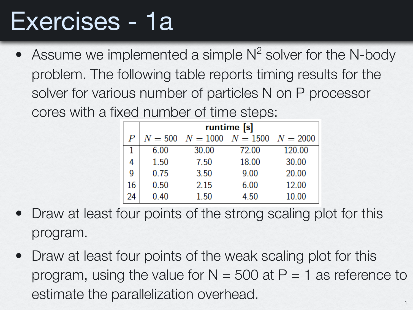# Exercises - 1a

• Assume we implemented a simple  $N^2$  solver for the N-body problem. The following table reports timing results for the solver for various number of particles N on P processor cores with a fixed number of time steps:

|    | runtime [s] |                                            |       |        |
|----|-------------|--------------------------------------------|-------|--------|
| P  |             | $N = 500$ $N = 1000$ $N = 1500$ $N = 2000$ |       |        |
|    | 6.00        | 30.00                                      | 72.00 | 120.00 |
| 4  | 1.50        | 7.50                                       | 18.00 | 30.00  |
| g  | 0.75        | 3.50                                       | 9.00  | 20.00  |
| 16 | 0.50        | 2.15                                       | 6.00  | 12.00  |
| 24 | 0.40        | 1.50                                       | 4.50  | 10.00  |

- Draw at least four points of the strong scaling plot for this program.
- Draw at least four points of the weak scaling plot for this program, using the value for  $N = 500$  at  $P = 1$  as reference to estimate the parallelization overhead.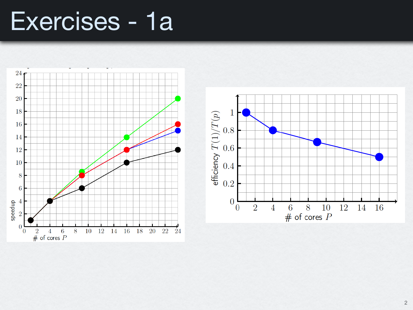### Exercises - 1a

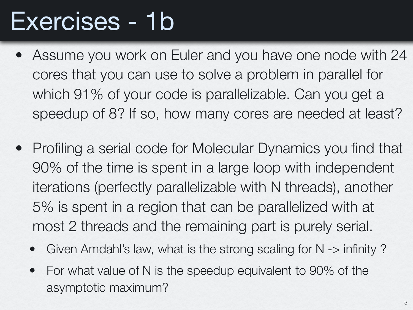# Exercises - 1b

- Assume you work on Euler and you have one node with 24 cores that you can use to solve a problem in parallel for which 91% of your code is parallelizable. Can you get a speedup of 8? If so, how many cores are needed at least?
- Profiling a serial code for Molecular Dynamics you find that 90% of the time is spent in a large loop with independent iterations (perfectly parallelizable with N threads), another 5% is spent in a region that can be parallelized with at most 2 threads and the remaining part is purely serial.
	- Given Amdahl's law, what is the strong scaling for  $N \rightarrow$  infinity ?
	- For what value of N is the speedup equivalent to 90% of the asymptotic maximum?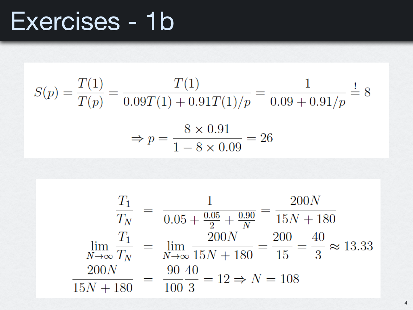## Exercises - 1b

$$
S(p) = \frac{T(1)}{T(p)} = \frac{T(1)}{0.09T(1) + 0.91T(1)/p} = \frac{1}{0.09 + 0.91/p} \stackrel{!}{=} 8
$$

$$
\Rightarrow p = \frac{8 \times 0.91}{1 - 8 \times 0.09} = 26
$$

$$
\frac{T_1}{T_N} = \frac{1}{0.05 + \frac{0.05}{2} + \frac{0.90}{N}} = \frac{200N}{15N + 180}
$$
\n
$$
\lim_{N \to \infty} \frac{T_1}{T_N} = \lim_{N \to \infty} \frac{200N}{15N + 180} = \frac{200}{15} = \frac{40}{3} \approx 13.33
$$
\n
$$
\frac{200N}{15N + 180} = \frac{90}{100} \frac{40}{3} = 12 \Rightarrow N = 108
$$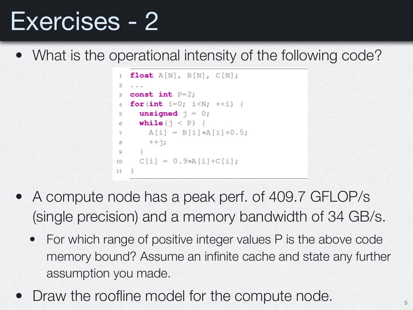• What is the operational intensity of the following code?

```
float A[N], B[N], C[N];
2
3 const int P=2;
4 for (int i=0; i<N; ++i) {
  unsigned \vec{j} = 0;
5
  while (\dagger \langle P \rangle) {
6
7 A[i] = B[i]*A[i]+0.5;8 + 1\OmegaC[i] = 0.9*A[i]+C[i];10<sup>°</sup>11
```
- A compute node has a peak perf. of 409.7 GFLOP/s (single precision) and a memory bandwidth of 34 GB/s.
	- For which range of positive integer values P is the above code memory bound? Assume an infinite cache and state any further assumption you made.
- Draw the roofline model for the compute node.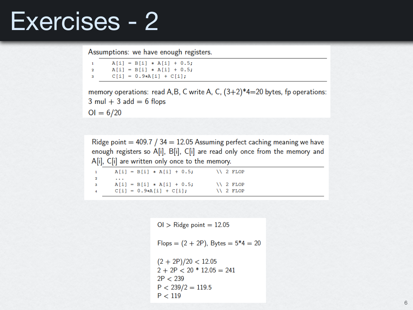Assumptions: we have enough registers.

 $A[i] = B[i] * A[i] + 0.5;$  $\mathbf{1}$  $\overline{2}$  $A[i] = B[i] * A[i] + 0.5;$  $C[i] = 0.9*A[i] + C[i];$ 3

memory operations: read A,B, C write A, C,  $(3+2)*4=20$  bytes, fp operations:  $3 \text{ mul} + 3 \text{ add} = 6 \text{ flops}$ 

 $OI = 6/20$ 

Ridge point  $=$  409.7 / 34  $=$  12.05 Assuming perfect caching meaning we have enough registers so A[i], B[i], C[i] are read only once from the memory and A[i], C[i] are written only once to the memory.

 $A[i] = B[i] * A[i] + 0.5;$  \\ 2 FLOP  $\mathbf{1}$  $\mathbf 2$  $\sim$   $\sim$   $\sim$  $A[i] = B[i] * A[i] + 0.5;$  \\ 2 FLOP  $\bf{3}$  $C[i] = 0.9*A[i] + C[i];$ \\ 2 FLOP  $\boldsymbol{A}$ 

> $Ol >$  Ridge point = 12.05 Flops =  $(2 + 2P)$ , Bytes =  $5*4 = 20$  $(2 + 2P)/20 < 12.05$  $2 + 2P < 20 * 12.05 = 241$  $2P < 239$  $P < 239/2 = 119.5$  $P < 119$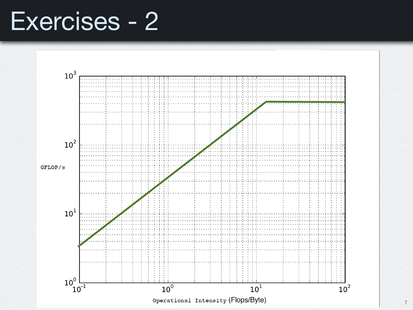

7